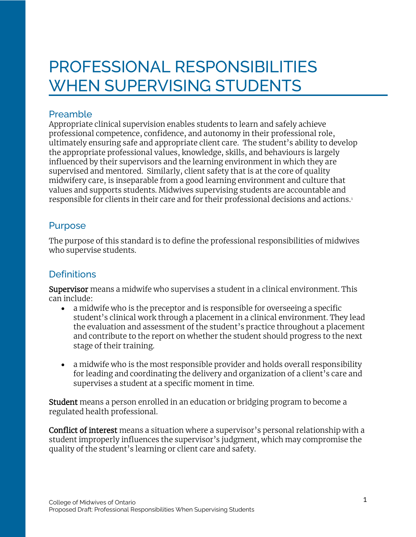# PROFESSIONAL RESPONSIBILITIES WHEN SUPERVISING STUDENTS

## Preamble

Appropriate clinical supervision enables students to learn and safely achieve professional competence, confidence, and autonomy in their professional role, ultimately ensuring safe and appropriate client care. The student's ability to develop the appropriate professional values, knowledge, skills, and behaviours is largely influenced by their supervisors and the learning environment in which they are supervised and mentored. Similarly, client safety that is at the core of quality midwifery care, is inseparable from a good learning environment and culture that values and supports students. Midwives supervising students are accountable and responsible for clients in their care and for their professional decisions and actions. <sup>1</sup>

## Purpose

The purpose of this standard is to define the professional responsibilities of midwives who supervise students.

# **Definitions**

Supervisor means a midwife who supervises a student in a clinical environment. This can include:

- a midwife who is the preceptor and is responsible for overseeing a specific student's clinical work through a placement in a clinical environment. They lead the evaluation and assessment of the student's practice throughout a placement and contribute to the report on whether the student should progress to the next stage of their training.
- a midwife who is the most responsible provider and holds overall responsibility for leading and coordinating the delivery and organization of a client's care and supervises a student at a specific moment in time.

Student means a person enrolled in an education or bridging program to become a regulated health professional.

Conflict of interest means a situation where a supervisor's personal relationship with a student improperly influences the supervisor's judgment, which may compromise the quality of the student's learning or client care and safety.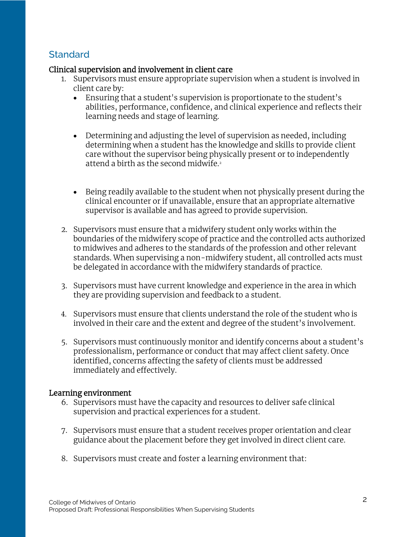## **Standard**

#### Clinical supervision and involvement in client care

- 1. Supervisors must ensure appropriate supervision when a student is involved in client care by:
	- Ensuring that a student's supervision is proportionate to the student's abilities, performance, confidence, and clinical experience and reflects their learning needs and stage of learning.
	- Determining and adjusting the level of supervision as needed, including determining when a student has the knowledge and skills to provide client care without the supervisor being physically present or to independently attend a birth as the second midwife.<sup>2</sup>
	- Being readily available to the student when not physically present during the clinical encounter or if unavailable, ensure that an appropriate alternative supervisor is available and has agreed to provide supervision.
- 2. Supervisors must ensure that a midwifery student only works within the boundaries of the midwifery scope of practice and the controlled acts authorized to midwives and adheres to the standards of the profession and other relevant standards. When supervising a non-midwifery student, all controlled acts must be delegated in accordance with the midwifery standards of practice.
- 3. Supervisors must have current knowledge and experience in the area in which they are providing supervision and feedback to a student.
- 4. Supervisors must ensure that clients understand the role of the student who is involved in their care and the extent and degree of the student's involvement.
- 5. Supervisors must continuously monitor and identify concerns about a student's professionalism, performance or conduct that may affect client safety. Once identified, concerns affecting the safety of clients must be addressed immediately and effectively.

#### Learning environment

- 6. Supervisors must have the capacity and resources to deliver safe clinical supervision and practical experiences for a student.
- 7. Supervisors must ensure that a student receives proper orientation and clear guidance about the placement before they get involved in direct client care.
- 8. Supervisors must create and foster a learning environment that: